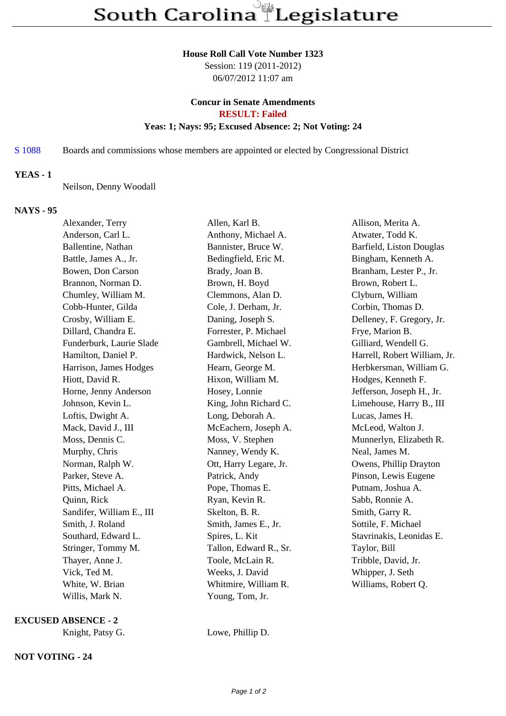#### **House Roll Call Vote Number 1323**

Session: 119 (2011-2012) 06/07/2012 11:07 am

# **Concur in Senate Amendments RESULT: Failed**

# **Yeas: 1; Nays: 95; Excused Absence: 2; Not Voting: 24**

S 1088 Boards and commissions whose members are appointed or elected by Congressional District

## **YEAS - 1**

Neilson, Denny Woodall

### **NAYS - 95**

| Alexander, Terry          | Allen, Karl B.         | Allison, Merita A.           |
|---------------------------|------------------------|------------------------------|
| Anderson, Carl L.         | Anthony, Michael A.    | Atwater, Todd K.             |
| Ballentine, Nathan        | Bannister, Bruce W.    | Barfield, Liston Douglas     |
| Battle, James A., Jr.     | Bedingfield, Eric M.   | Bingham, Kenneth A.          |
| Bowen, Don Carson         | Brady, Joan B.         | Branham, Lester P., Jr.      |
| Brannon, Norman D.        | Brown, H. Boyd         | Brown, Robert L.             |
| Chumley, William M.       | Clemmons, Alan D.      | Clyburn, William             |
| Cobb-Hunter, Gilda        | Cole, J. Derham, Jr.   | Corbin, Thomas D.            |
| Crosby, William E.        | Daning, Joseph S.      | Delleney, F. Gregory, Jr.    |
| Dillard, Chandra E.       | Forrester, P. Michael  | Frye, Marion B.              |
| Funderburk, Laurie Slade  | Gambrell, Michael W.   | Gilliard, Wendell G.         |
| Hamilton, Daniel P.       | Hardwick, Nelson L.    | Harrell, Robert William, Jr. |
| Harrison, James Hodges    | Hearn, George M.       | Herbkersman, William G.      |
| Hiott, David R.           | Hixon, William M.      | Hodges, Kenneth F.           |
| Horne, Jenny Anderson     | Hosey, Lonnie          | Jefferson, Joseph H., Jr.    |
| Johnson, Kevin L.         | King, John Richard C.  | Limehouse, Harry B., III     |
| Loftis, Dwight A.         | Long, Deborah A.       | Lucas, James H.              |
| Mack, David J., III       | McEachern, Joseph A.   | McLeod, Walton J.            |
| Moss, Dennis C.           | Moss, V. Stephen       | Munnerlyn, Elizabeth R.      |
| Murphy, Chris             | Nanney, Wendy K.       | Neal, James M.               |
| Norman, Ralph W.          | Ott, Harry Legare, Jr. | Owens, Phillip Drayton       |
| Parker, Steve A.          | Patrick, Andy          | Pinson, Lewis Eugene         |
| Pitts, Michael A.         | Pope, Thomas E.        | Putnam, Joshua A.            |
| Quinn, Rick               | Ryan, Kevin R.         | Sabb, Ronnie A.              |
| Sandifer, William E., III | Skelton, B. R.         | Smith, Garry R.              |
| Smith, J. Roland          | Smith, James E., Jr.   | Sottile, F. Michael          |
| Southard, Edward L.       | Spires, L. Kit         | Stavrinakis, Leonidas E.     |
| Stringer, Tommy M.        | Tallon, Edward R., Sr. | Taylor, Bill                 |
| Thayer, Anne J.           | Toole, McLain R.       | Tribble, David, Jr.          |
| Vick, Ted M.              | Weeks, J. David        | Whipper, J. Seth             |
| White, W. Brian           | Whitmire, William R.   | Williams, Robert Q.          |
| Willis, Mark N.           | Young, Tom, Jr.        |                              |

**EXCUSED ABSENCE - 2**

**NOT VOTING - 24**

Knight, Patsy G. Lowe, Phillip D.